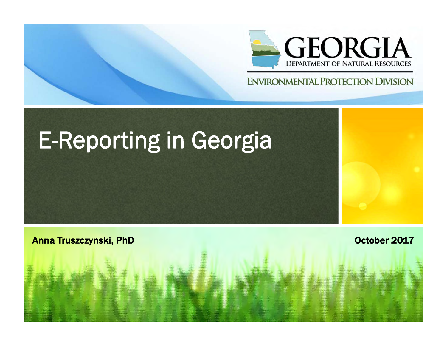

## **ENVIRONMENTAL PROTECTION DIVISION**

# E-Reporting in Georgia

**Anna Truszczynski, PhD** October 2017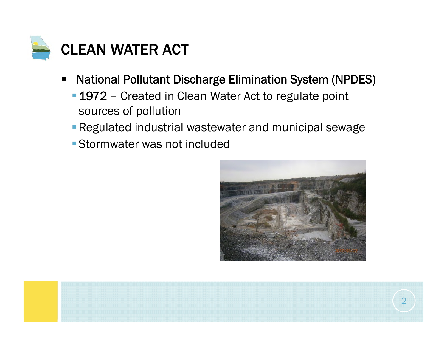

- $\blacksquare$  National Pollutant Discharge Elimination System (NPDES)
	- **1972** Created in Clean Water Act to regulate point sources of pollution
	- **Regulated industrial wastewater and municipal sewage**
	- Stormwater was not included



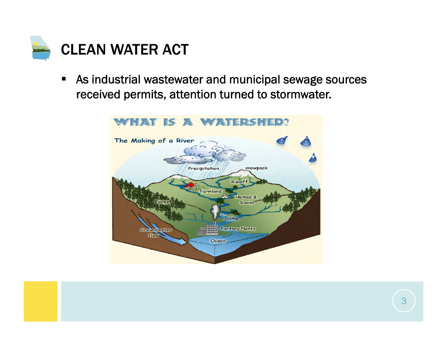

 $\blacksquare$  As industrial wastewater and municipal sewage sources received permits, attention turned to stormwater.



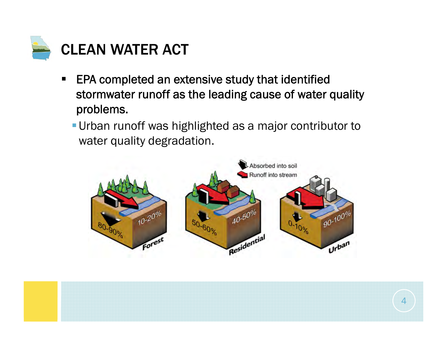

- $\blacksquare$  EPA completed an extensive study that identified stormwater runoff as the leading cause of water quality problems.
	- Urban runoff was highlighted as a major contributor to water quality degradation.



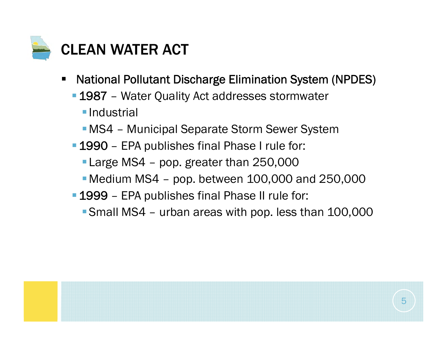

- $\blacksquare$  National Pollutant Discharge Elimination System (NPDES)
	- 1987 Water Quality Act addresses stormwater
		- **Industrial**
		- MS4 Municipal Separate Storm Sewer System
	- 1990 EPA publishes final Phase I rule for:
		- **Large MS4 pop. greater than 250,000**
		- $\blacksquare$  Medium MS4 pop. between 100,000 and 250,000
	- 1999 EPA publishes final Phase II rule for:
		- Small MS4 urban areas with pop. less than 100,000

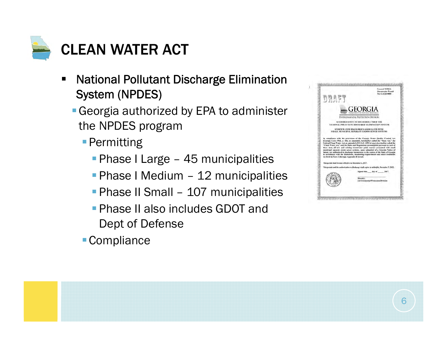

- $\blacksquare$  National Pollutant Discharge Elimination System (NPDES)
	- Georgia authorized by EPA to administer the NPDES program
		- **Permitting** 
			- **Phase I Large 45 municipalities**
			- **Phase I Medium 12 municipalities**
			- **Phase II Small 107 municipalities**
			- **Phase II also includes GDOT and** Dept of Defense
		- Compliance



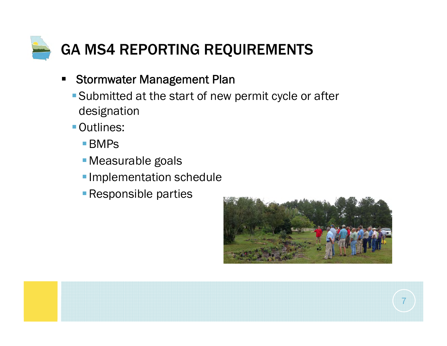

- $\blacksquare$  Stormwater Management Plan
	- Submitted at the start of new permit cycle or after designation
	- Outlines:
		- ■BMPs
		- Measurable goals
		- **Implementation schedule**
		- **Responsible parties**



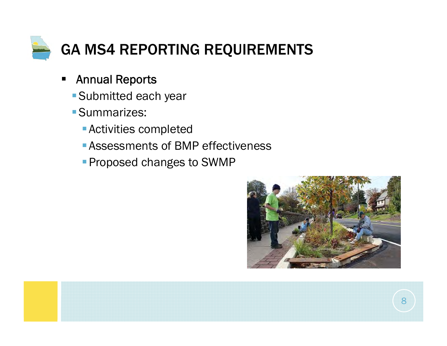

- $\blacksquare$  Annual Reports
	- Submitted each year
	- Summarizes:
		- Activities completed
		- Assessments of BMP effectiveness
		- **Proposed changes to SWMP**

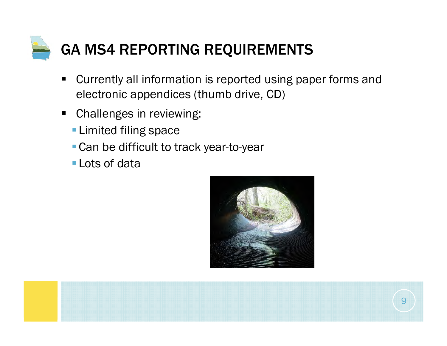

- $\blacksquare$  Currently all information is reported using paper forms and electronic appendices (thumb drive, CD)
- $\blacksquare$  Challenges in reviewing:
	- **Limited filing space**
	- **Can be difficult to track year-to-year**
	- Lots of data



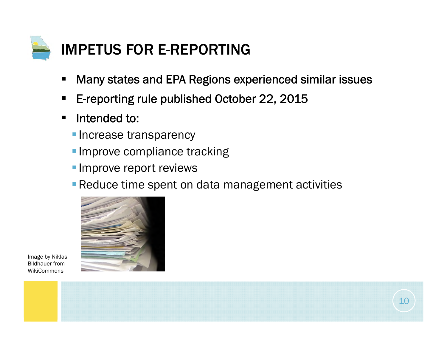

- $\blacksquare$ Many states and EPA Regions experienced similar issues
- $\blacksquare$ E-reporting rule published October 22, 2015
- $\blacksquare$  Intended to:
	- **Increase transparency**
	- **Improve compliance tracking**
	- **Improve report reviews**
	- **Reduce time spent on data management activities**



Image by Niklas Bildhauer from **WikiCommons** 

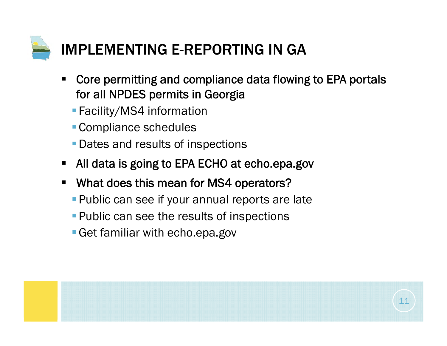

- $\blacksquare$  Core permitting and compliance data flowing to EPA portals for all NPDES permits in Georgia
	- **Facility/MS4 information**
	- Compliance schedules
	- **Dates and results of inspections**
- $\blacksquare$ All data is going to EPA ECHO at echo.epa.gov
- $\blacksquare$  What does this mean for MS4 operators?
	- **Public can see if your annual reports are late**
	- **Public can see the results of inspections**
	- Get familiar with echo.epa.gov

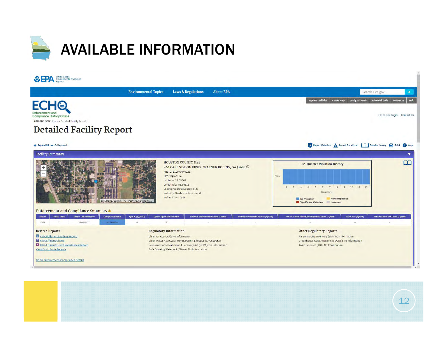

|                                                                                                                                   | <b>Environmental Topics</b><br><b>Laws &amp; Regulations</b><br><b>About EPA</b>                                                                                                                                                                                                                                    | Search EPA.gov                                                                                                                                            |                   |
|-----------------------------------------------------------------------------------------------------------------------------------|---------------------------------------------------------------------------------------------------------------------------------------------------------------------------------------------------------------------------------------------------------------------------------------------------------------------|-----------------------------------------------------------------------------------------------------------------------------------------------------------|-------------------|
| <b>ECHO</b><br><b>Compliance History Online</b><br>You are here Home » Detailed Facility Report                                   |                                                                                                                                                                                                                                                                                                                     | <b>Analyze Trends</b><br><b>Advanced Tools</b><br><b>Explore Facilities</b><br><b>Create Maps</b><br>ECHO Gov Login Contact Us                            | <b>Resources</b>  |
| <b>Detailed Facility Report</b>                                                                                                   |                                                                                                                                                                                                                                                                                                                     |                                                                                                                                                           |                   |
| + Expand All - Collapse All                                                                                                       |                                                                                                                                                                                                                                                                                                                     | Report Violation A Report Data Error Data Dictionary Print                                                                                                | <sup>2</sup> Help |
| <b>Facility Summary</b>                                                                                                           |                                                                                                                                                                                                                                                                                                                     |                                                                                                                                                           |                   |
|                                                                                                                                   | <b>HOUSTON COUNTY MS4</b><br>200 CARL VINSON PKWY, WARNER ROBINS, GA 31088 C<br>FRS ID: 110070046023<br>EPA Region: 04<br>Latitude: 32.59647<br>Longitude: -83.66515<br>Locational Data Source: FRS<br>Industry: No description found<br><b>Indian Country: N</b><br>Esri, HERE, Garmin, IPC   USDA FSA, DigitalGL. | 12-Quarter Violation History<br><b>CWA</b><br>1 2 3 4 5 6 7 8 9 10 11 12<br>Quarters<br>Noncompliance<br>No Violation<br>Significant Violation<br>Unknown | $\Box$            |
|                                                                                                                                   | Qtra in NC (of 12)<br><b>Qtrs in Significant Violation</b><br>Informal Enforcement Actions (5 years)<br><b>Formal Enforcement Actions (5 years)</b>                                                                                                                                                                 | Penalties from Formal Enforcement Actions (5 years)<br>Penalties from EPA Cases (5 years)<br><b>EPA Cases (5 years)</b>                                   |                   |
| Enforcement and Compliance Summary<br>Statute                                                                                     |                                                                                                                                                                                                                                                                                                                     | $\sim$<br>$\rightarrow$<br>$\sim$                                                                                                                         |                   |
| Insp (5 Years)<br><b>Date of Last Inspection</b><br><b>Compliance Status</b><br>04/26/2017<br>CWA<br>$\mathbf{1}$<br>No Violation | $\circ$<br>$\circ$<br>$\sim$<br>$\sim$                                                                                                                                                                                                                                                                              |                                                                                                                                                           |                   |
| <b>Related Reports</b>                                                                                                            | <b>Regulatory Information</b>                                                                                                                                                                                                                                                                                       | <b>Other Regulatory Reports</b>                                                                                                                           |                   |

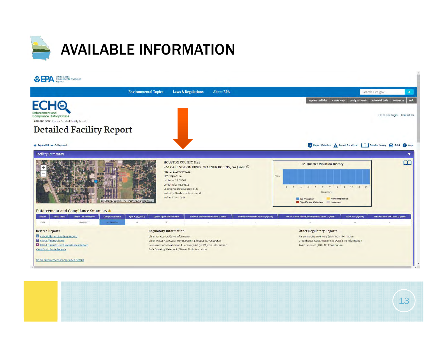

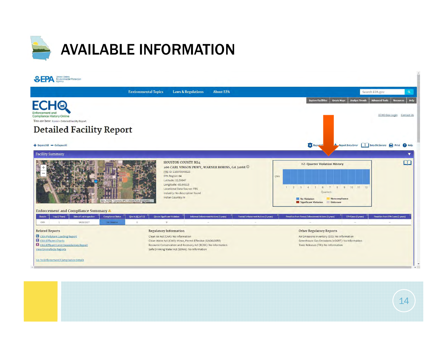

|                                                                                                                          | <b>Environmental Topics</b><br><b>Laws &amp; Regulations</b><br><b>About EPA</b>                                                                                                                    | Search EPA.gov                                                                                                                 | $\alpha$         |
|--------------------------------------------------------------------------------------------------------------------------|-----------------------------------------------------------------------------------------------------------------------------------------------------------------------------------------------------|--------------------------------------------------------------------------------------------------------------------------------|------------------|
| <b>FCHO</b><br>nforcement<br><b>Compliance History Online</b>                                                            |                                                                                                                                                                                                     | <b>Explore Facilities</b><br><b>Analyze Trends</b><br><b>Advanced Tools</b><br><b>Create Maps</b><br>ECHO Gov Login Contact Us | <b>Resources</b> |
| You are here Home » Detailed Facility Report<br><b>Detailed Facility Report</b>                                          |                                                                                                                                                                                                     |                                                                                                                                |                  |
| + Expand All - Collapse All                                                                                              |                                                                                                                                                                                                     | Report Vi<br>Report Data Error   Data Dictionary <b>And</b> Print                                                              |                  |
| <b>Facility Summary</b>                                                                                                  |                                                                                                                                                                                                     |                                                                                                                                |                  |
|                                                                                                                          | <b>HOUSTON COUNTY MS4</b><br>200 CARL VINSON PKWY, WARNER ROBINS, GA 31088 1<br>FRS ID: 110070046023<br>EPA Region: 04<br>Latitude: 32.59647<br>Longitude: -83.66515<br>Locational Data Source: FRS | <b>12-Quarter Violation History</b><br>CWA<br>1 2 3 4 5 6 7 8 9 10 11 12                                                       | $\Box$           |
|                                                                                                                          | Industry: No description found<br>Indian Country: N<br>Esri, HERE, Garmin, IPC   USDA FSA, DigitalGL.                                                                                               | Quarters<br>No Violation<br><b>Noncompliance</b><br>Significant Violation<br>Unknown                                           |                  |
| Enforcement and Compliance Summary 4<br>Date of Last Inspection<br><b>Compliance Status</b><br>Statute<br>Insp (5 Years) | <b>Formal Enforcement Actions (5 years)</b><br>Qtra in NC (of 12)<br><b>Qtra in Significant Violation</b><br>Informal Enforcement Actions (5 years)                                                 | Penalties from Formal Enforcement Actions (5 years)<br>Penalties from EPA Cases (5 years)<br><b>EPA Cases (5 years)</b>        |                  |
| 04/26/2017<br>CWA<br>1<br>No Violation                                                                                   | $\circ$<br>$\alpha$                                                                                                                                                                                 |                                                                                                                                |                  |
| <b>Related Reports</b><br>C CWA Pollutant Loading Report                                                                 | <b>Regulatory Information</b>                                                                                                                                                                       | <b>Other Regulatory Reports</b>                                                                                                |                  |

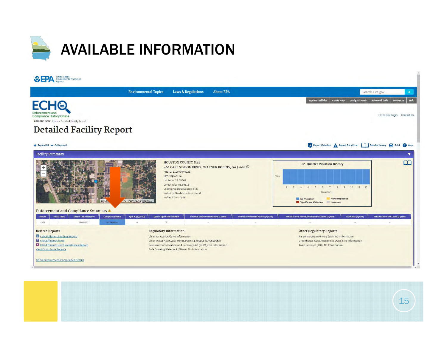

|                                                                                                                         | <b>Environmental Topics</b><br><b>Laws &amp; Regulations</b><br><b>About EPA</b>                                                                                                                                                                                                         | Search EPA.gov                                                                                                                                            |                                               |
|-------------------------------------------------------------------------------------------------------------------------|------------------------------------------------------------------------------------------------------------------------------------------------------------------------------------------------------------------------------------------------------------------------------------------|-----------------------------------------------------------------------------------------------------------------------------------------------------------|-----------------------------------------------|
| <b>ECHO</b><br><b>Compliance History Online</b><br>You are here Home » Detailed Facility Report                         |                                                                                                                                                                                                                                                                                          | <b>Advanced Tools</b><br><b>Analyze Trends</b><br><b>Explore Facilities</b><br><b>Create Maps</b>                                                         | <b>Resources</b><br>ECHO Gov Login Contact Us |
| <b>Detailed Facility Report</b>                                                                                         |                                                                                                                                                                                                                                                                                          |                                                                                                                                                           |                                               |
| + Expand All - Collapse All                                                                                             |                                                                                                                                                                                                                                                                                          | Report Violation A Report Data Error Data Dictionary Print                                                                                                |                                               |
| <b>Facility Summary</b>                                                                                                 |                                                                                                                                                                                                                                                                                          |                                                                                                                                                           |                                               |
|                                                                                                                         | <b>HOUSTON COUNTY MS4</b><br>200 CARL VINSON PKWY, WARNER ROBINS, GA 31088 C<br>FRS ID: 110070046023<br>EPA Region: 04<br>Latitude: 32.59647<br>Longitude: -83.66515<br>Locational Data Source: FRS<br>Industry: No description found<br>Indian Country: N<br>APC   USDA FSA, DigitalGL. | 12-Quarter Violation History<br>CWA<br>1 2 3 4 5 6 7 8 9 10 11 12<br>Ouarters<br>No Violation<br>Noncompliance<br><b>Significant Violation</b><br>Unknown | $\cap$                                        |
|                                                                                                                         |                                                                                                                                                                                                                                                                                          |                                                                                                                                                           |                                               |
|                                                                                                                         | <b>Qtrs in Significant Violation</b><br>Informal Enforcement Actions (5 years)                                                                                                                                                                                                           |                                                                                                                                                           |                                               |
| Insp (5 Years)<br>Date of Last Inspection<br><b>Compliance Status</b><br>04/26/2017<br>$\mathbf{1}$<br>No Violation     | Qtra in NC (of 12)<br><b>Formal Enforcement Actions (5 years)</b><br>$\circ$<br>$\circ$<br><b>ALC</b><br>$\sim$                                                                                                                                                                          | Penalties from Formal Enforcement Actions (5 years)<br>EPA Cases (5 years)<br>$\sim$<br>$\overline{\phantom{a}}$<br>$\sim$                                |                                               |
|                                                                                                                         | <b>Regulatory Information</b>                                                                                                                                                                                                                                                            | <b>Other Regulatory Reports</b>                                                                                                                           | Penalties from EPA Cases (5 years)            |
| <b>Enforcement and Compliance Summary 4</b><br>Statute<br>CWA<br><b>Related Reports</b><br>CWA Pollutant Loading Report | Clean Air Act (CAA): No Information                                                                                                                                                                                                                                                      | Air Emissions Inventory (EIS): No Information                                                                                                             |                                               |
| CWA Effluent Charts<br><b>X</b> CWA Effluent Limit Exceedances Report                                                   | Clean Water Act (CWA): Minor, Permit Effective (GAG610055)<br>Resource Conservation and Recovery Act (RCRA): No Information                                                                                                                                                              | Greenhouse Gas Emissions (eGGRT): No Information<br>Toxic Releases (TRI): No Information                                                                  |                                               |

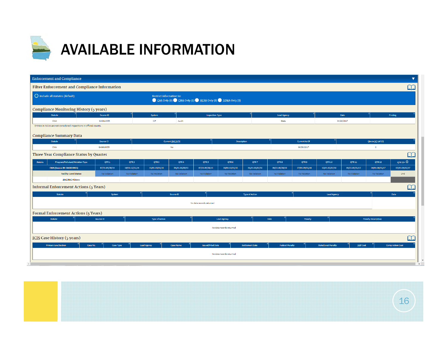

|         | <b>Enforcement and Compliance</b>                                     |                  |                  |                                 |                                                       |                          |                          |                        |                        |                      |                            |                    |                            |                         |
|---------|-----------------------------------------------------------------------|------------------|------------------|---------------------------------|-------------------------------------------------------|--------------------------|--------------------------|------------------------|------------------------|----------------------|----------------------------|--------------------|----------------------------|-------------------------|
|         | Filter Enforcement and Compliance Information                         |                  |                  |                                 |                                                       |                          |                          |                        |                        |                      |                            |                    |                            | $\Box$                  |
|         | $\bigcirc$ Include all statutes (default)                             |                  |                  | <b>Restrict information to:</b> | CAA Only (0) CMA Only (1) RCRA Only (0) SDWA Only (0) |                          |                          |                        |                        |                      |                            |                    |                            |                         |
|         | Compliance Monitoring History (5 years)                               |                  |                  |                                 |                                                       |                          |                          |                        |                        |                      |                            |                    |                            |                         |
|         | <b>Statute</b>                                                        | Source ID        |                  | System                          |                                                       | <b>Inspection Type</b>   |                          |                        | <b>Lead Agency</b>     |                      |                            | <b>Date</b>        |                            | <b>Finding</b>          |
|         | <b>CWA</b>                                                            | GAG610055        |                  | ICP                             | Audit                                                 |                          |                          |                        | State                  |                      |                            | 04/26/2017         |                            |                         |
|         | Entries in italics are not considered inspections in official counts. |                  |                  |                                 |                                                       |                          |                          |                        |                        |                      |                            |                    |                            |                         |
|         | <b>Compliance Summary Data</b>                                        |                  |                  |                                 |                                                       |                          |                          |                        |                        |                      |                            |                    |                            |                         |
|         | <b>Statute</b>                                                        | Source ID        |                  |                                 | Current SNC/HPV                                       |                          | <b>Description</b>       |                        |                        | <b>Current As Of</b> |                            |                    | Qtrs in NC (of 12)         |                         |
|         | <b>CWA</b>                                                            | GAG610055        |                  |                                 | No                                                    |                          |                          |                        |                        | 06/30/2017           |                            |                    |                            |                         |
|         | Three Year Compliance Status by Quarter                               |                  |                  |                                 |                                                       |                          |                          |                        |                        |                      |                            |                    |                            | $\Box$                  |
| Statute | Program/Pollutant/Violation Type                                      | QTR <sub>1</sub> | QTR <sub>2</sub> | QTR3                            | QTR4                                                  | QTR <sub>5</sub>         | QTR <sub>6</sub>         | QTR7                   | QTR8                   | QTR9                 | <b>QTR10</b>               | <b>QTR11</b>       | <b>QTR 12</b>              | QTR $13+$ $\odot$       |
|         | CWA (Source ID: GAG610055)                                            | 07/01-09/30/14   | 10/01-12/31/14   | $01/01 - 03/31/15$              | 04/01-06/30/15                                        | 07/01-09/30/15           | $10/01 - 12/31/15$       | 01/01-03/31/16         | 04/01-06/30/16         | 07/01-09/30/16       | 10/01-12/31/16             | $01/01 - 03/31/17$ | 04/01-06/30/17             | 07/01-09/22/17          |
|         | <b>Facility-Level Status</b>                                          | No Violation     | No Violation     | No Violation                    | No Violation                                          | No Violation             | No Violation             | No Violation           | No Violation           | No Violation         | No Violation               | No Violation       | No Violation               | Und                     |
|         | <b>SNC/RNC History</b>                                                |                  |                  |                                 |                                                       |                          |                          |                        |                        |                      |                            |                    |                            |                         |
|         | <b>Informal Enforcement Actions (5 Years)</b>                         |                  |                  |                                 |                                                       |                          |                          |                        |                        |                      |                            |                    |                            | $\alpha$                |
|         | Statute                                                               | System           |                  |                                 | Source ID                                             |                          |                          | <b>Type of Action</b>  |                        |                      | <b>Lead Agency</b>         |                    |                            | Date                    |
|         |                                                                       |                  |                  |                                 |                                                       | No data records returned |                          |                        |                        |                      |                            |                    |                            |                         |
|         |                                                                       |                  |                  |                                 |                                                       |                          |                          |                        |                        |                      |                            |                    |                            |                         |
|         | <b>Formal Enforcement Actions (5 Years)</b>                           |                  |                  |                                 |                                                       |                          |                          |                        |                        |                      |                            |                    |                            |                         |
|         | Statute                                                               | Source ID        |                  | <b>Type of Action</b>           |                                                       |                          | <b>Lead Agency</b>       |                        | Date                   | Penalty              |                            |                    | <b>Penalty Description</b> |                         |
|         |                                                                       |                  |                  |                                 |                                                       |                          | No data records returned |                        |                        |                      |                            |                    |                            |                         |
|         | ICIS Case History (5 years)                                           |                  |                  |                                 |                                                       |                          |                          |                        |                        |                      |                            |                    |                            | $\Box$                  |
|         | <b>Primary Law/Section</b><br>Case No.                                | Case Type        |                  | <b>Lead Agency</b>              | <b>Case Name</b>                                      | <b>Issued/Filed Date</b> |                          | <b>Settlement Date</b> | <b>Federal Penalty</b> |                      | <b>State/Local Penalty</b> | <b>SEP Cost</b>    |                            | <b>Comp Action Cost</b> |
|         |                                                                       |                  |                  |                                 |                                                       |                          | No data records returned |                        |                        |                      |                            |                    |                            |                         |
|         |                                                                       |                  |                  |                                 |                                                       |                          |                          |                        |                        |                      |                            |                    |                            |                         |
|         |                                                                       |                  |                  |                                 |                                                       |                          |                          |                        |                        |                      |                            |                    |                            |                         |

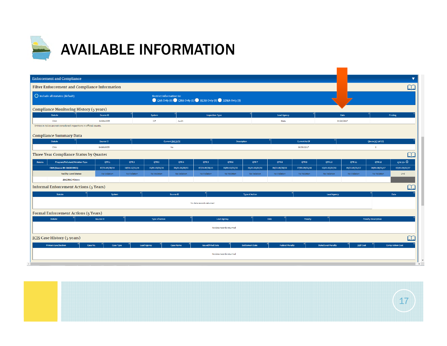

| <b>Enforcement and Compliance</b>                                                                       |                  |                  |                                 |                                                       |                          |                          |                        |                        |                      |                            |                 |                            |                          |
|---------------------------------------------------------------------------------------------------------|------------------|------------------|---------------------------------|-------------------------------------------------------|--------------------------|--------------------------|------------------------|------------------------|----------------------|----------------------------|-----------------|----------------------------|--------------------------|
| Filter Enforcement and Compliance Information                                                           |                  |                  |                                 |                                                       |                          |                          |                        |                        |                      |                            |                 |                            | $\Box$                   |
| O Include all statutes (default)                                                                        |                  |                  | <b>Restrict information to:</b> | CAA Only (0) CMA Only (1) RCRA Only (0) SDWA Only (0) |                          |                          |                        |                        |                      |                            |                 |                            |                          |
| Compliance Monitoring History (5 years)                                                                 |                  |                  |                                 |                                                       |                          |                          |                        |                        |                      |                            |                 |                            |                          |
| <b>Statute</b>                                                                                          | Source ID        |                  | System                          |                                                       | <b>Inspection Type</b>   |                          |                        | <b>Lead Agency</b>     |                      |                            | Date            |                            | <b>Finding</b>           |
| <b>CWA</b>                                                                                              | GAG610055        |                  | ICP                             | Audit                                                 |                          |                          |                        | State                  |                      |                            | 04/26/2017      |                            |                          |
| Entries in italics are not considered inspections in official counts.<br><b>Compliance Summary Data</b> |                  |                  |                                 |                                                       |                          |                          |                        |                        |                      |                            |                 |                            |                          |
| Statute                                                                                                 | Source ID        |                  |                                 | Current SNC/HPV                                       |                          | <b>Description</b>       |                        |                        | <b>Current As Of</b> |                            |                 | Qtrs in NC (of 12)         |                          |
| CWA                                                                                                     | GAG610055        |                  |                                 | No                                                    |                          |                          |                        |                        | 06/30/2017           |                            |                 | $\circ$                    |                          |
| Three Year Compliance Status by Quarter                                                                 |                  |                  |                                 |                                                       |                          |                          |                        |                        |                      |                            |                 |                            | $\Box$                   |
| Program/Pollutant/Violation Type<br><b>Statute</b>                                                      | QTR <sub>1</sub> | QTR <sub>2</sub> | QTR <sub>3</sub>                | QTR4                                                  | QTR <sub>5</sub>         | QTR6                     | QTR <sub>7</sub>       | QTR8                   | QTR <sub>9</sub>     | <b>QTR 10</b>              | <b>QTR 11</b>   | <b>QTR 12</b>              | $QTR 13+$ $\overline{O}$ |
| CWA (Source ID: GAG610055)                                                                              | 07/01-09/30/14   | 10/01-12/31/14   | 01/01-03/31/15                  | 04/01-06/30/15                                        | 07/01-09/30/15           | $10/01 - 12/31/15$       | $01/01 - 03/31/16$     | 04/01-06/30/16         | 07/01-09/30/16       | 10/01-12/31/16             | 01/01-03/31/17  | 04/01-06/30/17             | 07/01-09/22/17           |
| <b>Facility-Level Status</b>                                                                            | No Violation     | No Violation     | No Violation                    | No Violation                                          | No Violation             | No Violation             | No Violation           | No Violation           | No Violation         | No Violation               | No Violation    | No Violation               | Und                      |
| <b>SNC/RNC History</b>                                                                                  |                  |                  |                                 |                                                       |                          |                          |                        |                        |                      |                            |                 |                            |                          |
| <b>Informal Enforcement Actions (5 Years)</b>                                                           |                  |                  |                                 |                                                       |                          |                          |                        |                        |                      |                            |                 |                            | $\Box$                   |
| Statute                                                                                                 | System           |                  |                                 | Source ID                                             |                          |                          | <b>Type of Action</b>  |                        |                      | Lead Agency                |                 |                            | Date                     |
|                                                                                                         |                  |                  |                                 |                                                       | No data records returned |                          |                        |                        |                      |                            |                 |                            |                          |
| <b>Formal Enforcement Actions (5 Years)</b>                                                             |                  |                  |                                 |                                                       |                          |                          |                        |                        |                      |                            |                 |                            |                          |
| Statute                                                                                                 | Source ID        |                  | <b>Type of Action</b>           |                                                       |                          | Lead Agency              |                        | Date                   | Penalty              |                            |                 | <b>Penalty Description</b> |                          |
|                                                                                                         |                  |                  |                                 |                                                       |                          | No data records returned |                        |                        |                      |                            |                 |                            |                          |
| <b>ICIS Case History (5 years)</b>                                                                      |                  |                  |                                 |                                                       |                          |                          |                        |                        |                      |                            |                 |                            | $\Box$                   |
| <b>Primary Law/Section</b><br>Case No.                                                                  | <b>Case Type</b> |                  | <b>Lead Agency</b>              | <b>Case Name</b>                                      | <b>Issued/Filed Date</b> |                          | <b>Settlement Date</b> | <b>Federal Penalty</b> |                      | <b>State/Local Penalty</b> | <b>SEP Cost</b> |                            | <b>Comp Action Cost</b>  |
|                                                                                                         |                  |                  |                                 |                                                       |                          | No data records returned |                        |                        |                      |                            |                 |                            |                          |
|                                                                                                         |                  |                  |                                 |                                                       |                          |                          |                        |                        |                      |                            |                 |                            |                          |

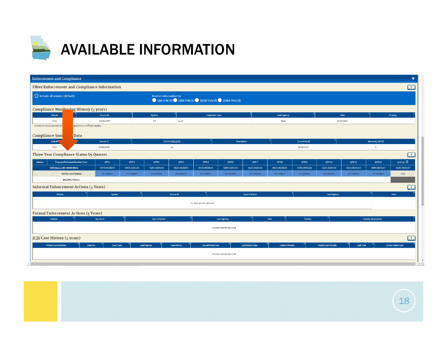

|                       | <b>Enforcement and Compliance</b>                                             |                                    |                                        |                                    |                                                       |                                    |                                    |                                    |                        |                             |                                |                                 |                                |                                          |
|-----------------------|-------------------------------------------------------------------------------|------------------------------------|----------------------------------------|------------------------------------|-------------------------------------------------------|------------------------------------|------------------------------------|------------------------------------|------------------------|-----------------------------|--------------------------------|---------------------------------|--------------------------------|------------------------------------------|
|                       | Filter Enforcement and Compliance Information                                 |                                    |                                        |                                    |                                                       |                                    |                                    |                                    |                        |                             |                                |                                 |                                | $\Box$                                   |
|                       | $\bigcirc$ Include all statutes (default)                                     |                                    |                                        | <b>Restrict information to:</b>    | CAA Only (0) CMA Only (1) RCRA Only (0) SDWA Only (0) |                                    |                                    |                                    |                        |                             |                                |                                 |                                |                                          |
|                       | <b>Compliance Monitoring History (5 years)</b>                                |                                    |                                        |                                    |                                                       |                                    |                                    |                                    |                        |                             |                                |                                 |                                |                                          |
|                       | <b>Statute</b>                                                                | Source ID                          |                                        | System                             |                                                       | <b>Inspection Type</b>             |                                    |                                    | <b>Lead Agency</b>     |                             |                                | Date                            |                                | <b>Finding</b>                           |
|                       | <b>CWA</b><br>spections in official counts.<br>Entries in italics are not cor | GAG610055                          |                                        | ICP                                | Audit                                                 |                                    |                                    |                                    | State                  |                             |                                | 04/26/2017                      |                                |                                          |
|                       |                                                                               |                                    |                                        |                                    |                                                       |                                    |                                    |                                    |                        |                             |                                |                                 |                                |                                          |
| <b>Compliance Sun</b> | <b>Data</b><br>Le L                                                           |                                    |                                        |                                    |                                                       |                                    |                                    |                                    |                        |                             |                                |                                 |                                |                                          |
|                       | Statute<br><b>CWA</b>                                                         | Source ID<br>GAG610055             |                                        |                                    | Current SNC/HPV<br>No                                 |                                    | <b>Description</b>                 |                                    |                        | Current As Of<br>06/30/2017 |                                |                                 | Qtrs in NC (of 12)<br>$\circ$  |                                          |
|                       | Three Year Compliance Status by Quarter                                       |                                    |                                        |                                    |                                                       |                                    |                                    |                                    |                        |                             |                                |                                 |                                |                                          |
|                       |                                                                               |                                    |                                        |                                    |                                                       |                                    |                                    |                                    |                        |                             |                                |                                 |                                | $\Box$                                   |
| Statute               | Program/Pollutant/Violation Type<br>CWA (Source ID: GAG610055)                | QTR <sub>1</sub><br>07/01-09/30/14 | QTR <sub>2</sub><br>$10/01 - 12/31/14$ | QTR <sub>3</sub><br>01/01-03/31/15 | QTR4<br>04/01-06/30/15                                | QTR <sub>5</sub><br>07/01-09/30/15 | QTR <sub>6</sub><br>10/01-12/31/15 | QTR <sub>7</sub><br>01/01-03/31/16 | QTR8<br>04/01-06/30/16 | QTR9<br>07/01-09/30/16      | <b>QTR10</b><br>10/01-12/31/16 | <b>QTR 11</b><br>01/01-03/31/17 | <b>QTR12</b><br>04/01-06/30/17 | QTR 13+ $\overline{O}$<br>07/01-09/22/17 |
|                       | <b>Facility-Level Status</b>                                                  | No Violation                       | No Violation                           | No Violation                       | No Violation                                          | No Violation                       | No Violation                       | No Violation                       | No Violation           | No Violation                | No Violation                   | No Violation                    | No Violation                   | Und                                      |
|                       | <b>SNC/RNC History</b>                                                        |                                    |                                        |                                    |                                                       |                                    |                                    |                                    |                        |                             |                                |                                 |                                |                                          |
|                       | <b>Informal Enforcement Actions (5 Years)</b>                                 |                                    |                                        |                                    |                                                       |                                    |                                    |                                    |                        |                             |                                |                                 |                                | $\Box$                                   |
|                       | Statute                                                                       | System                             |                                        |                                    | Source ID                                             |                                    |                                    | <b>Type of Action</b>              |                        |                             | Lead Agency                    |                                 |                                | Date                                     |
|                       |                                                                               |                                    |                                        |                                    |                                                       |                                    |                                    |                                    |                        |                             |                                |                                 |                                |                                          |
|                       |                                                                               |                                    |                                        |                                    |                                                       | No data records returned           |                                    |                                    |                        |                             |                                |                                 |                                |                                          |
|                       | <b>Formal Enforcement Actions (5 Years)</b>                                   |                                    |                                        |                                    |                                                       |                                    |                                    |                                    |                        |                             |                                |                                 |                                |                                          |
|                       | Statute                                                                       | Source ID                          |                                        | <b>Type of Action</b>              |                                                       |                                    | <b>Lead Agency</b>                 |                                    | Date                   | Penalty                     |                                |                                 | <b>Penalty Description</b>     |                                          |
|                       |                                                                               |                                    |                                        |                                    |                                                       |                                    | No data records returned           |                                    |                        |                             |                                |                                 |                                |                                          |
|                       | <b>ICIS Case History (5 years)</b>                                            |                                    |                                        |                                    |                                                       |                                    |                                    |                                    |                        |                             |                                |                                 |                                | $\Box$                                   |
|                       | <b>Primary Law/Section</b><br>Case No.                                        | <b>Case Type</b>                   |                                        | <b>Lead Agency</b>                 | <b>Case Name</b>                                      | <b>Issued/Filed Date</b>           |                                    | <b>Settlement Date</b>             | <b>Federal Penalty</b> |                             | <b>State/Local Penalty</b>     | <b>SEP Cost</b>                 |                                | <b>Comp Action Cost</b>                  |
|                       |                                                                               |                                    |                                        |                                    |                                                       |                                    | No data records returned           |                                    |                        |                             |                                |                                 |                                |                                          |
|                       |                                                                               |                                    |                                        |                                    |                                                       |                                    |                                    |                                    |                        |                             |                                |                                 |                                |                                          |
|                       |                                                                               |                                    |                                        |                                    |                                                       |                                    |                                    |                                    |                        |                             |                                |                                 |                                | $\rightarrow$                            |

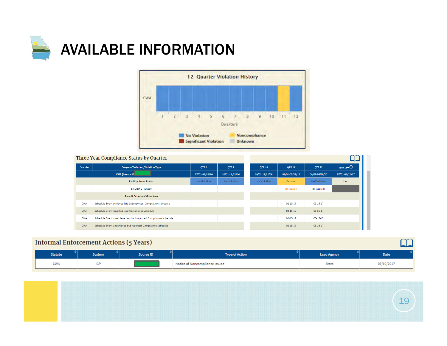



|            | Three Year Compliance Status by Quarter                         |                  |                  |                |                |                |                          |
|------------|-----------------------------------------------------------------|------------------|------------------|----------------|----------------|----------------|--------------------------|
| Statute    | Program/Pollutant/Violation Type                                | QTR <sub>1</sub> | OTR <sub>2</sub> | <b>OTR 10</b>  | <b>QTR11</b>   | <b>QTR12</b>   | $QTR 13+$ $\overline{O}$ |
|            | <b>CWA</b> (Source ID                                           | 07/01-09/30/14   | 10/01-12/31/14   | 10/01-12/31/16 | 01/01-03/31/17 | 04/01-06/30/17 | 07/01-09/22/17           |
|            | <b>Facility-Level Status</b>                                    | No Violation     | No Violation     | No Violation   | Violation      | No Violation   | Und                      |
|            | <b>SNC/RNC History</b>                                          |                  |                  |                | N(RptViol)     | R(Resolvd)     |                          |
|            | <b>Permit Schedule Violations</b>                               |                  |                  |                |                |                |                          |
| <b>CWA</b> | Schedule Event achieved late but reported: Compliance Schedule  |                  |                  |                | $02 - 15 - 17$ | 05-15-17       |                          |
| <b>CWA</b> | Schedule Event reported late: Compliance Schedule               |                  |                  |                | $02 - 15 - 17$ | 05-15-17       |                          |
| <b>CWA</b> | Schedule Event unachieved and not reported: Compliance Schedule |                  |                  |                | $02 - 15 - 17$ | 05-15-17       |                          |
| <b>CWA</b> | Schedule Event unachieved but reported: Compliance Schedule     |                  |                  |                | $02 - 15 - 17$ | 05-15-17       |                          |

### **Informal Enforcement Actions (5 Years)**

| <b>Statute</b> | <b>System</b> | Source ID | <b>Type of Action</b>          | <b>Lead Agency</b> | <b>Date</b> |
|----------------|---------------|-----------|--------------------------------|--------------------|-------------|
| <b>CWA</b>     |               |           | Notice of Noncompliance Issued | State              | 07/10/2017  |

 $\Omega$ 

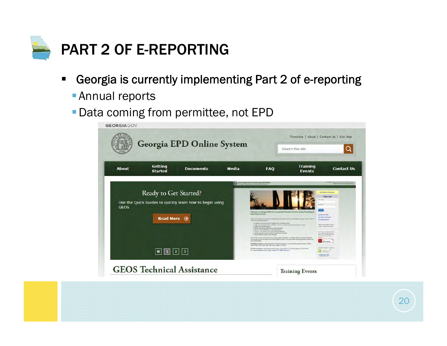

- $\blacksquare$  Georgia is currently implementing Part 2 of e-reporting
	- **Annual reports**
	- Data coming from permittee, not EPD

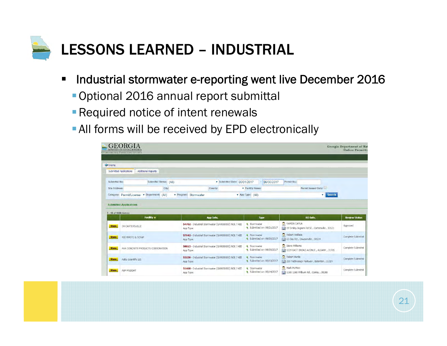

- $\blacksquare$  Industrial stormwater e-reporting went live December 2016
	- Optional 2016 annual report submittal
	- **Required notice of intent renewals**
	- **All forms will be received by EPD electronically**

|                        | <b>SYTHONMENTAL PROTECTION DIVISION</b>             |                                                                               |                                                       |                                                                                                        | <b>Online Permitti</b>           |
|------------------------|-----------------------------------------------------|-------------------------------------------------------------------------------|-------------------------------------------------------|--------------------------------------------------------------------------------------------------------|----------------------------------|
| Home                   |                                                     |                                                                               |                                                       |                                                                                                        |                                  |
|                        | Submitted Applications<br><b>Additional Reports</b> |                                                                               |                                                       |                                                                                                        |                                  |
| Submittal No:          | <b>Submittal Status:</b><br>(A  )                   | Submitted Date: 06/01/2017<br>$\mathbf{v}$                                    | D6/30/2017<br>÷                                       | Permit No.:                                                                                            |                                  |
| Site Address:          | City:                                               | County:                                                                       | <b>v</b> Facility Name:                               | Permit Issued Only:                                                                                    |                                  |
|                        | Category: Permit/License v Department:<br>(A  )     | <i>v</i> Program: Stormwater                                                  | v App Type: (All)                                     | <b>Search</b><br>v                                                                                     |                                  |
|                        |                                                     |                                                                               |                                                       |                                                                                                        |                                  |
| 1 - 15 of 1686 item(s) |                                                     |                                                                               |                                                       |                                                                                                        |                                  |
| <b>View</b>            | Facility +<br><b>3M CARTERSVILLE</b>                | App Info.<br>54702 - Industrial Stormwater (GAR050000) NOI / NEE              | <b>Type</b><br>Stormwater<br>Submitted on: 06/21/2017 | RO Info.<br>RAMON CAPUA                                                                                | <b>Review Status</b><br>Approved |
| <b>View</b>            | 400 WASTE & SCRAP                                   | App Type:<br>57642 - Industrial Stormwater (GAR050000) NOI / NEE<br>App Type: | <b>4</b> Stormwater<br>9 Submitted on: 06/30/2017     | [1] 19 Smiley Ingram Rd SE, Cartersville, 30121<br>Robert Wallace<br>[1] 63 Day Rd, Dawsonville, 30534 | Complete Submittal               |
| <b>View</b>            | AAA CONCRETE PRODUCTS CORPORATION                   | 58813 - Industrial Stormwater (GAR050000) NOI / NEE<br>App Type:              | <b>R</b> Stormwater<br>Submitted on: 06/30/2017       | Q<br>Steve Williams<br>1224 EAST BROAD AVENUE, ALBANY, 31705                                           | Complete Submittal               |
| <b>View</b>            | Aalto Scientific Ltd.                               | 53230 - Industrial Stormwater (GAR050000) NOI / NEE<br>App Type:              | <b>R</b> Stormwater<br>Submitted on: 06/13/2017       | Robert Burda<br>[1] 230 Technology Parkway, Eatonton, 31024                                            | Complete Submittal               |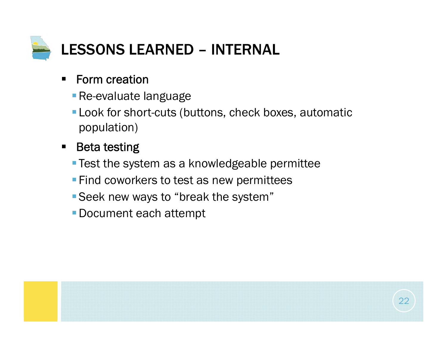

- $\blacksquare$  Form creation
	- **Re-evaluate language**
	- **-Look for short-cuts (buttons, check boxes, automatic** population)
- $\blacksquare$  Beta testing
	- **Test the system as a knowledgeable permittee**
	- **Find coworkers to test as new permittees**
	- Seek new ways to "break the system"
	- Document each attempt

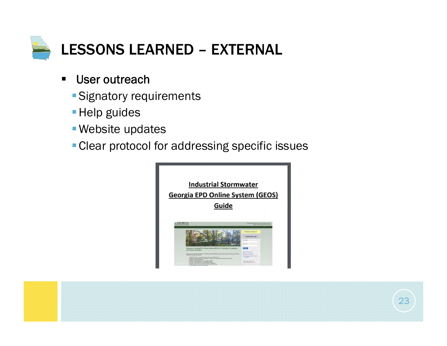

- $\blacksquare$ ■ User outreach
	- Signatory requirements
	- **Help guides**
	- Website updates
	- **Clear protocol for addressing specific issues**



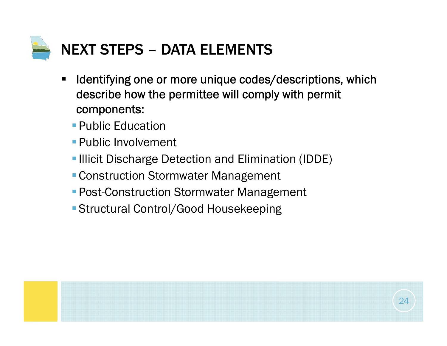

- $\blacksquare$  Identifying one or more unique codes/descriptions, which describe how the permittee will comply with permit components:
	- Public Education
	- **Public Involvement**
	- **-Illicit Discharge Detection and Elimination (IDDE)**
	- **Construction Stormwater Management**
	- **Post-Construction Stormwater Management**
	- Structural Control/Good Housekeeping

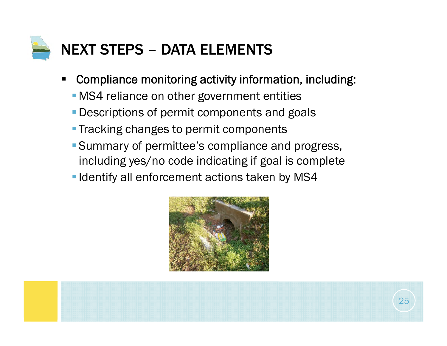

- П Compliance monitoring activity information, including:
	- **-MS4** reliance on other government entities
	- **Descriptions of permit components and goals**
	- **Tracking changes to permit components**
	- Summary of permittee's compliance and progress, including yes/no code indicating if goal is complete
	- **I** Identify all enforcement actions taken by MS4



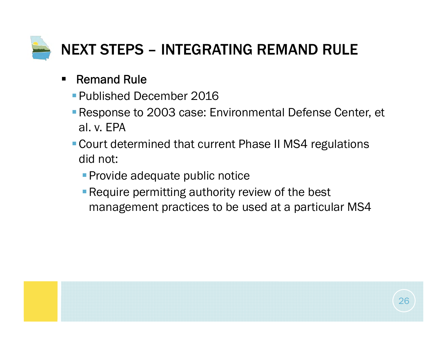

#### $\blacksquare$ Remand Rule

- Published December 2016
- Response to 2003 case: Environmental Defense Center, et al. v. EPA
- Court determined that current Phase II MS4 regulations did not:
	- **Provide adequate public notice**
	- **Require permitting authority review of the best** management practices to be used at a particular MS4

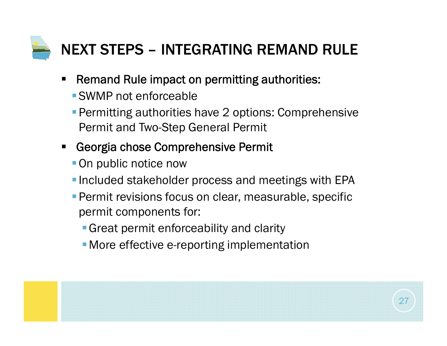

- $\blacksquare$  Remand Rule impact on permitting authorities:
	- SWMP not enforceable
	- **Permitting authorities have 2 options: Comprehensive** Permit and Two-Step General Permit
- $\blacksquare$  Georgia chose Comprehensive Permit
	- On public notice now
	- **Included stakeholder process and meetings with EPA**
	- **Permit revisions focus on clear, measurable, specific** permit components for:
		- Great permit enforceability and clarity
		- **More effective e-reporting implementation**

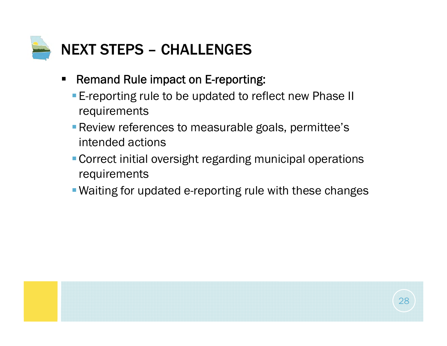

- $\blacksquare$  Remand Rule impact on E-reporting:
	- **E-reporting rule to be updated to reflect new Phase II** requirements
	- **Review references to measurable goals, permittee's** intended actions
	- Correct initial oversight regarding municipal operations requirements
	- Waiting for updated e-reporting rule with these changes

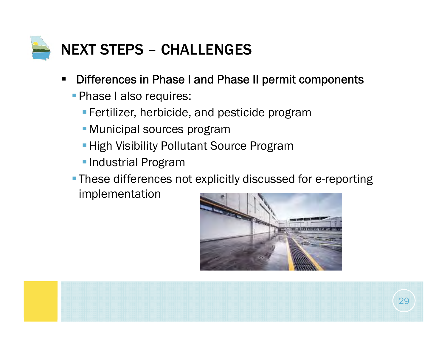

- $\blacksquare$  Differences in Phase I and Phase II permit components
	- **Phase I also requires:** 
		- **Fertilizer, herbicide, and pesticide program**
		- Municipal sources program
		- **High Visibility Pollutant Source Program**
		- **Industrial Program**
	- **These differences not explicitly discussed for e-reporting**

implementation

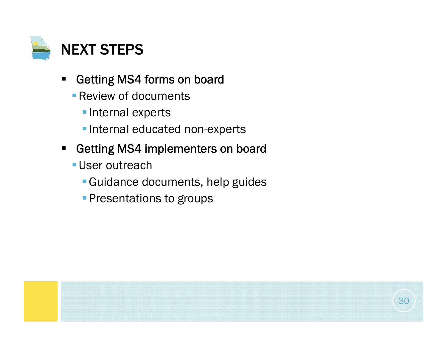

- $\blacksquare$  Getting MS4 forms on board
	- **Review of documents** 
		- **Internal experts**
		- **Internal educated non-experts**
- $\blacksquare$  Getting MS4 implementers on board
	- **User outreach** 
		- Guidance documents, help guides
		- **Presentations to groups**

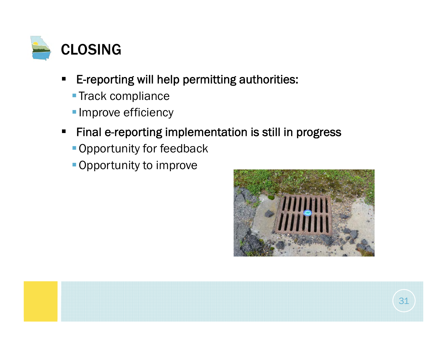

- $\blacksquare$  E-reporting will help permitting authorities:
	- **Track compliance**
	- **Improve efficiency**
- $\blacksquare$  Final e-reporting implementation is still in progress
	- **Opportunity for feedback**
	- Opportunity to improve